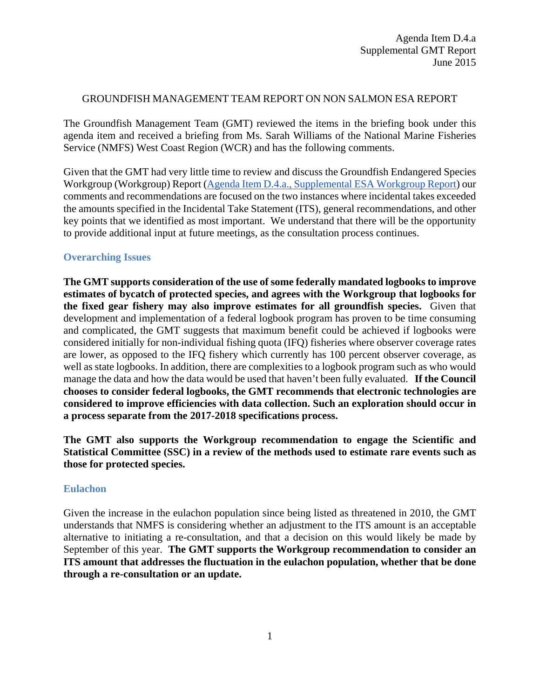### GROUNDFISH MANAGEMENT TEAM REPORT ON NON SALMON ESA REPORT

The Groundfish Management Team (GMT) reviewed the items in the briefing book under this agenda item and received a briefing from Ms. Sarah Williams of the National Marine Fisheries Service (NMFS) West Coast Region (WCR) and has the following comments.

Given that the GMT had very little time to review and discuss the Groundfish Endangered Species Workgroup (Workgroup) Report [\(Agenda Item D.4.a., Supplemental ESA Workgroup Report\)](http://www.pcouncil.org/wp-content/uploads/2015/06/D4a_Sup_GF_ESA_WrkgrpRpt_JUN2015BB.pdf) our comments and recommendations are focused on the two instances where incidental takes exceeded the amounts specified in the Incidental Take Statement (ITS), general recommendations, and other key points that we identified as most important. We understand that there will be the opportunity to provide additional input at future meetings, as the consultation process continues.

# **Overarching Issues**

**The GMT supports consideration of the use of some federally mandated logbooks to improve estimates of bycatch of protected species, and agrees with the Workgroup that logbooks for the fixed gear fishery may also improve estimates for all groundfish species.** Given that development and implementation of a federal logbook program has proven to be time consuming and complicated, the GMT suggests that maximum benefit could be achieved if logbooks were considered initially for non-individual fishing quota (IFQ) fisheries where observer coverage rates are lower, as opposed to the IFQ fishery which currently has 100 percent observer coverage, as well as state logbooks. In addition, there are complexities to a logbook program such as who would manage the data and how the data would be used that haven't been fully evaluated. **If the Council chooses to consider federal logbooks, the GMT recommends that electronic technologies are considered to improve efficiencies with data collection. Such an exploration should occur in a process separate from the 2017-2018 specifications process.**

**The GMT also supports the Workgroup recommendation to engage the Scientific and Statistical Committee (SSC) in a review of the methods used to estimate rare events such as those for protected species.**

## **Eulachon**

Given the increase in the eulachon population since being listed as threatened in 2010, the GMT understands that NMFS is considering whether an adjustment to the ITS amount is an acceptable alternative to initiating a re-consultation, and that a decision on this would likely be made by September of this year. **The GMT supports the Workgroup recommendation to consider an ITS amount that addresses the fluctuation in the eulachon population, whether that be done through a re-consultation or an update.**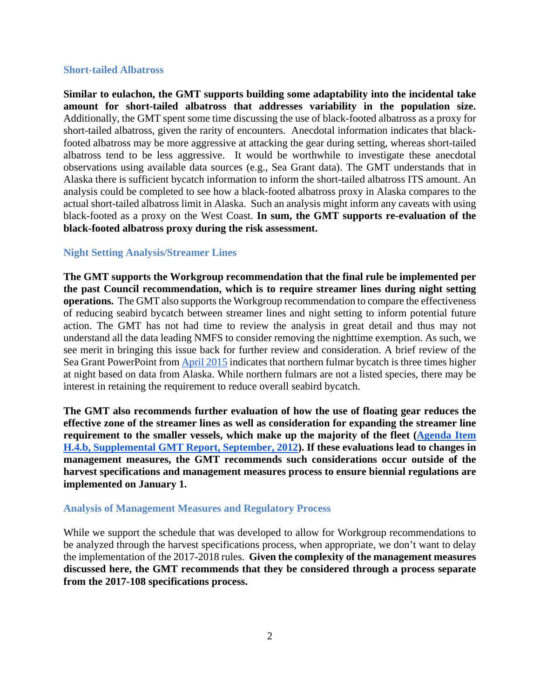#### **Short-tailed Albatross**

**Similar to eulachon, the GMT supports building some adaptability into the incidental take amount for short-tailed albatross that addresses variability in the population size.** Additionally, the GMT spent some time discussing the use of black-footed albatross as a proxy for short-tailed albatross, given the rarity of encounters. Anecdotal information indicates that blackfooted albatross may be more aggressive at attacking the gear during setting, whereas short-tailed albatross tend to be less aggressive. It would be worthwhile to investigate these anecdotal observations using available data sources (e.g., Sea Grant data). The GMT understands that in Alaska there is sufficient bycatch information to inform the short-tailed albatross ITS amount. An analysis could be completed to see how a black-footed albatross proxy in Alaska compares to the actual short-tailed albatross limit in Alaska. Such an analysis might inform any caveats with using black-footed as a proxy on the West Coast. **In sum, the GMT supports re-evaluation of the black-footed albatross proxy during the risk assessment.** 

## **Night Setting Analysis/Streamer Lines**

**The GMT supports the Workgroup recommendation that the final rule be implemented per the past Council recommendation, which is to require streamer lines during night setting operations.** The GMT also supports the Workgroup recommendation to compare the effectiveness of reducing seabird bycatch between streamer lines and night setting to inform potential future action. The GMT has not had time to review the analysis in great detail and thus may not understand all the data leading NMFS to consider removing the nighttime exemption. As such, we see merit in bringing this issue back for further review and consideration. A brief review of the Sea Grant PowerPoint from [April 2015](http://www.pcouncil.org/wp-content/uploads/2015/04/F1a_SupSeaGrantPPT_Melvin_Seabirds_APR2015BB.pdf) indicates that northern fulmar bycatch is three times higher at night based on data from Alaska. While northern fulmars are not a listed species, there may be interest in retaining the requirement to reduce overall seabird bycatch.

**The GMT also recommends further evaluation of how the use of floating gear reduces the effective zone of the streamer lines as well as consideration for expanding the streamer line requirement to the smaller vessels, which make up the majority of the fleet [\(Agenda Item](http://www.pcouncil.org/wp-content/uploads/H4b_SUP_GMT_SEP2012BB.pdf)  [H.4.b, Supplemental GMT Report, September, 2012\)](http://www.pcouncil.org/wp-content/uploads/H4b_SUP_GMT_SEP2012BB.pdf). If these evaluations lead to changes in management measures, the GMT recommends such considerations occur outside of the harvest specifications and management measures process to ensure biennial regulations are implemented on January 1.**

### **Analysis of Management Measures and Regulatory Process**

While we support the schedule that was developed to allow for Workgroup recommendations to be analyzed through the harvest specifications process, when appropriate, we don't want to delay the implementation of the 2017-2018 rules. **Given the complexity of the management measures discussed here, the GMT recommends that they be considered through a process separate from the 2017-108 specifications process.**